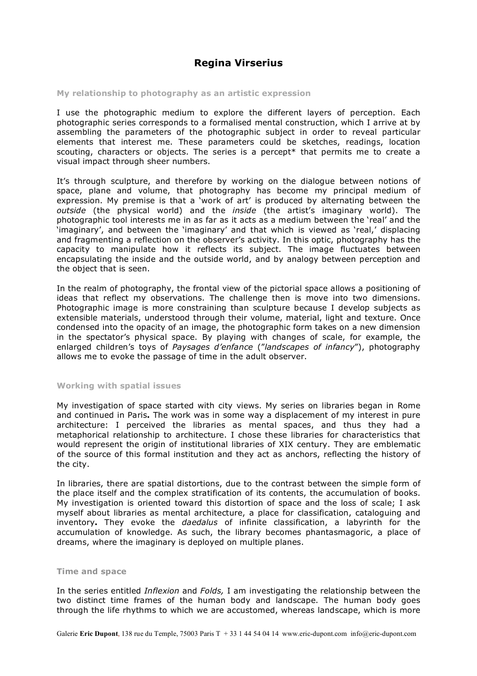# **Regina Virserius**

## **My relationship to photography as an artistic expression**

I use the photographic medium to explore the different layers of perception. Each photographic series corresponds to a formalised mental construction, which I arrive at by assembling the parameters of the photographic subject in order to reveal particular elements that interest me. These parameters could be sketches, readings, location scouting, characters or objects. The series is a percept $*$  that permits me to create a visual impact through sheer numbers.

It's through sculpture, and therefore by working on the dialogue between notions of space, plane and volume, that photography has become my principal medium of expression. My premise is that a 'work of art' is produced by alternating between the *outside* (the physical world) and the *inside* (the artist's imaginary world). The photographic tool interests me in as far as it acts as a medium between the 'real' and the 'imaginary', and between the 'imaginary' and that which is viewed as 'real,' displacing and fragmenting a reflection on the observer's activity. In this optic, photography has the capacity to manipulate how it reflects its subject. The image fluctuates between encapsulating the inside and the outside world, and by analogy between perception and the object that is seen.

In the realm of photography, the frontal view of the pictorial space allows a positioning of ideas that reflect my observations. The challenge then is move into two dimensions. Photographic image is more constraining than sculpture because I develop subjects as extensible materials, understood through their volume, material, light and texture. Once condensed into the opacity of an image, the photographic form takes on a new dimension in the spectator's physical space. By playing with changes of scale, for example, the enlarged children's toys of *Paysages d'enfance* ("*landscapes of infancy*"), photography allows me to evoke the passage of time in the adult observer.

### **Working with spatial issues**

My investigation of space started with city views. My series on libraries began in Rome and continued in Paris**.** The work was in some way a displacement of my interest in pure architecture: I perceived the libraries as mental spaces, and thus they had a metaphorical relationship to architecture. I chose these libraries for characteristics that would represent the origin of institutional libraries of XIX century. They are emblematic of the source of this formal institution and they act as anchors, reflecting the history of the city.

In libraries, there are spatial distortions, due to the contrast between the simple form of the place itself and the complex stratification of its contents, the accumulation of books. My investigation is oriented toward this distortion of space and the loss of scale; I ask myself about libraries as mental architecture, a place for classification, cataloguing and inventory**.** They evoke the *daedalus* of infinite classification, a labyrinth for the accumulation of knowledge. As such, the library becomes phantasmagoric, a place of dreams, where the imaginary is deployed on multiple planes.

## **Time and space**

In the series entitled *Inflexion* and *Folds,* I am investigating the relationship between the two distinct time frames of the human body and landscape. The human body goes through the life rhythms to which we are accustomed, whereas landscape, which is more